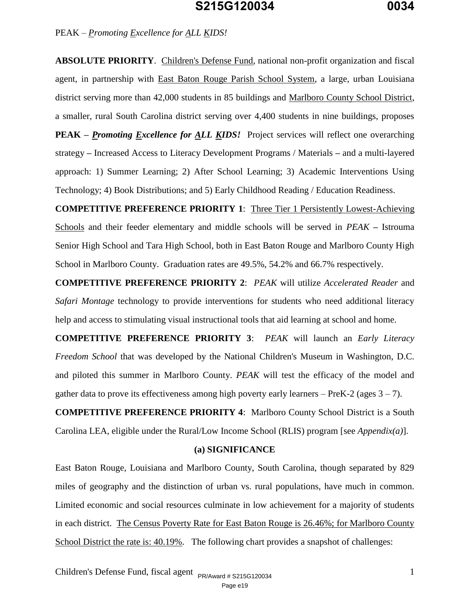**ABSOLUTE PRIORITY**. Children's Defense Fund, national non-profit organization and fiscal agent, in partnership with East Baton Rouge Parish School System, a large, urban Louisiana district serving more than 42,000 students in 85 buildings and Marlboro County School District, a smaller, rural South Carolina district serving over 4,400 students in nine buildings, proposes **PEAK** – *Promoting Excellence for ALL KIDS!* Project services will reflect one overarching strategy *–* Increased Access to Literacy Development Programs / Materials *–* and a multi-layered approach: 1) Summer Learning; 2) After School Learning; 3) Academic Interventions Using Technology; 4) Book Distributions; and 5) Early Childhood Reading / Education Readiness.

**COMPETITIVE PREFERENCE PRIORITY 1**: Three Tier 1 Persistently Lowest-Achieving Schools and their feeder elementary and middle schools will be served in *PEAK –* Istrouma Senior High School and Tara High School, both in East Baton Rouge and Marlboro County High School in Marlboro County. Graduation rates are 49.5%, 54.2% and 66.7% respectively.

**COMPETITIVE PREFERENCE PRIORITY 2**: *PEAK* will utilize *Accelerated Reader* and *Safari Montage* technology to provide interventions for students who need additional literacy help and access to stimulating visual instructional tools that aid learning at school and home.

**COMPETITIVE PREFERENCE PRIORITY 3**: *PEAK* will launch an *Early Literacy Freedom School* that was developed by the National Children's Museum in Washington, D.C. and piloted this summer in Marlboro County. *PEAK* will test the efficacy of the model and gather data to prove its effectiveness among high poverty early learners – PreK-2 (ages  $3 - 7$ ).

**COMPETITIVE PREFERENCE PRIORITY 4**: Marlboro County School District is a South Carolina LEA, eligible under the Rural/Low Income School (RLIS) program [see *Appendix(a)*].

#### **(a) SIGNIFICANCE**

East Baton Rouge, Louisiana and Marlboro County, South Carolina, though separated by 829 miles of geography and the distinction of urban vs. rural populations, have much in common. Limited economic and social resources culminate in low achievement for a majority of students in each district. The Census Poverty Rate for East Baton Rouge is 26.46%; for Marlboro County School District the rate is: 40.19%. The following chart provides a snapshot of challenges: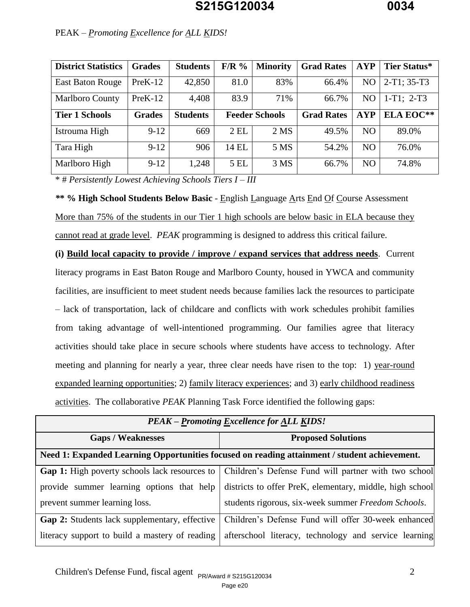| <b>District Statistics</b> | <b>Grades</b> | <b>Students</b> | $F/R$ % | <b>Minority</b>       | <b>Grad Rates</b> | <b>AYP</b>     | Tier Status*     |
|----------------------------|---------------|-----------------|---------|-----------------------|-------------------|----------------|------------------|
| <b>East Baton Rouge</b>    | $PreK-12$     | 42,850          | 81.0    | 83%                   | 66.4%             | NO.            | $2-T1$ ; 35-T3   |
| <b>Marlboro County</b>     | $PreK-12$     | 4,408           | 83.9    | 71%                   | 66.7%             | N <sub>O</sub> | $1-T1$ ; $2-T3$  |
| <b>Tier 1 Schools</b>      | <b>Grades</b> | <b>Students</b> |         | <b>Feeder Schools</b> | <b>Grad Rates</b> | <b>AYP</b>     | <b>ELA EOC**</b> |
| Istrouma High              | $9 - 12$      | 669             | $2$ EL  | 2 <sub>MS</sub>       | 49.5%             | NO.            | 89.0%            |
| Tara High                  | $9-12$        | 906             | 14 EL   | 5 MS                  | 54.2%             | NO.            | 76.0%            |
| Marlboro High              | $9 - 12$      | 1,248           | 5 EL    | 3 MS                  | 66.7%             | NO.            | 74.8%            |

\* # *Persistently Lowest Achieving Schools Tiers I – III* 

*\****\* % High School Students Below Basic** - English Language Arts End Of Course Assessment More than 75% of the students in our Tier 1 high schools are below basic in ELA because they cannot read at grade level. *PEAK* programming is designed to address this critical failure.

**(i) Build local capacity to provide / improve / expand services that address needs**. Current literacy programs in East Baton Rouge and Marlboro County, housed in YWCA and community facilities, are insufficient to meet student needs because families lack the resources to participate – lack of transportation, lack of childcare and conflicts with work schedules prohibit families from taking advantage of well-intentioned programming. Our families agree that literacy activities should take place in secure schools where students have access to technology. After meeting and planning for nearly a year, three clear needs have risen to the top: 1) year-round expanded learning opportunities; 2) family literacy experiences; and 3) early childhood readiness activities. The collaborative *PEAK* Planning Task Force identified the following gaps:

| <b>PEAK – Promoting Excellence for ALL KIDS!</b>                                             |                                                                                                           |  |  |
|----------------------------------------------------------------------------------------------|-----------------------------------------------------------------------------------------------------------|--|--|
| <b>Gaps / Weaknesses</b>                                                                     | <b>Proposed Solutions</b>                                                                                 |  |  |
| Need 1: Expanded Learning Opportunities focused on reading attainment / student achievement. |                                                                                                           |  |  |
|                                                                                              | <b>Gap 1:</b> High poverty schools lack resources to Children's Defense Fund will partner with two school |  |  |
| provide summer learning options that help                                                    | districts to offer PreK, elementary, middle, high school                                                  |  |  |
| prevent summer learning loss.                                                                | students rigorous, six-week summer Freedom Schools.                                                       |  |  |
| <b>Gap 2:</b> Students lack supplementary, effective                                         | Children's Defense Fund will offer 30-week enhanced                                                       |  |  |
| literacy support to build a mastery of reading                                               | afterschool literacy, technology and service learning                                                     |  |  |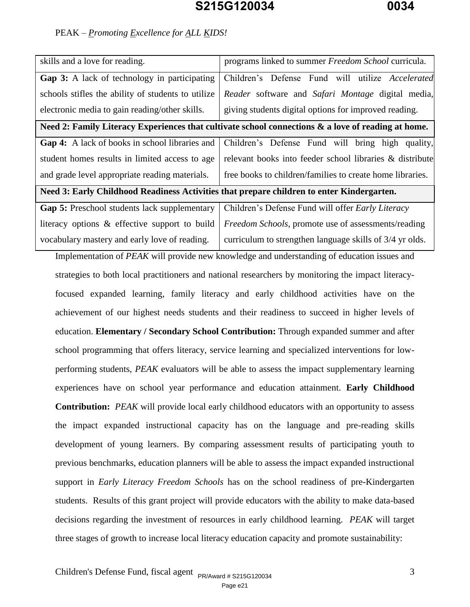## PEAK *– Promoting Excellence for ALL KIDS!*

| skills and a love for reading.                                                                     | programs linked to summer Freedom School curricula.                                                |  |  |  |
|----------------------------------------------------------------------------------------------------|----------------------------------------------------------------------------------------------------|--|--|--|
| Gap 3: A lack of technology in participating                                                       | Children's Defense Fund will utilize Accelerated                                                   |  |  |  |
| schools stifles the ability of students to utilize                                                 | Reader software and Safari Montage digital media,                                                  |  |  |  |
| electronic media to gain reading/other skills.                                                     | giving students digital options for improved reading.                                              |  |  |  |
| Need 2: Family Literacy Experiences that cultivate school connections & a love of reading at home. |                                                                                                    |  |  |  |
| Gap 4: A lack of books in school libraries and                                                     | Children's Defense Fund will bring high quality,                                                   |  |  |  |
| student homes results in limited access to age                                                     | relevant books into feeder school libraries & distribute                                           |  |  |  |
| and grade level appropriate reading materials.                                                     | free books to children/families to create home libraries.                                          |  |  |  |
| Need 3: Early Childhood Readiness Activities that prepare children to enter Kindergarten.          |                                                                                                    |  |  |  |
| Gap 5: Preschool students lack supplementary                                                       | Children's Defense Fund will offer Early Literacy                                                  |  |  |  |
| literacy options & effective support to build                                                      | Freedom Schools, promote use of assessments/reading                                                |  |  |  |
| vocabulary mastery and early love of reading.                                                      | curriculum to strengthen language skills of 3/4 yr olds.                                           |  |  |  |
|                                                                                                    | Implementation of PEAK will provide new knowledge and understanding of education issues and        |  |  |  |
|                                                                                                    | strategies to both local practitioners and national researchers by monitoring the impact literacy- |  |  |  |
|                                                                                                    | focused expanded learning, family literacy and early childhood activities have on the              |  |  |  |
|                                                                                                    | achievement of our highest needs students and their readiness to succeed in higher levels of       |  |  |  |
|                                                                                                    | education. Elementary / Secondary School Contribution: Through expanded summer and after           |  |  |  |
|                                                                                                    | school programming that offers literacy, service learning and specialized interventions for low-   |  |  |  |
|                                                                                                    | performing students, PEAK evaluators will be able to assess the impact supplementary learning      |  |  |  |
| experiences have on school year performance and education attainment. Early Childhood              |                                                                                                    |  |  |  |
| Contribution: PEAK will provide local early childhood educators with an opportunity to assess      |                                                                                                    |  |  |  |
| the impact expanded instructional capacity has on the language and pre-reading skills              |                                                                                                    |  |  |  |
| development of young learners. By comparing assessment results of participating youth to           |                                                                                                    |  |  |  |
| previous benchmarks, education planners will be able to assess the impact expanded instructional   |                                                                                                    |  |  |  |
| support in <i>Early Literacy Freedom Schools</i> has on the school readiness of pre-Kindergarten   |                                                                                                    |  |  |  |
| students. Results of this grant project will provide educators with the ability to make data-based |                                                                                                    |  |  |  |
|                                                                                                    | decisions regarding the investment of resources in early childhood learning. PEAK will target      |  |  |  |

three stages of growth to increase local literacy education capacity and promote sustainability: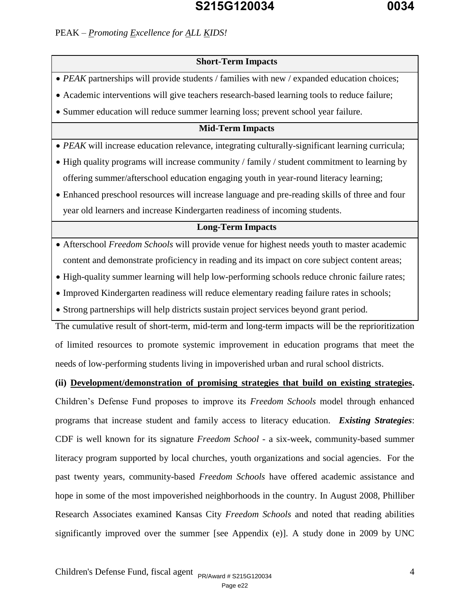### **Short-Term Impacts**

• *PEAK* partnerships will provide students / families with new / expanded education choices;

Academic interventions will give teachers research-based learning tools to reduce failure;

Summer education will reduce summer learning loss; prevent school year failure.

### **Mid-Term Impacts**

*PEAK* will increase education relevance, integrating culturally-significant learning curricula;

- High quality programs will increase community / family / student commitment to learning by offering summer/afterschool education engaging youth in year-round literacy learning;
- Enhanced preschool resources will increase language and pre-reading skills of three and four year old learners and increase Kindergarten readiness of incoming students.

### **Long-Term Impacts**

- Afterschool *Freedom Schools* will provide venue for highest needs youth to master academic content and demonstrate proficiency in reading and its impact on core subject content areas;
- High-quality summer learning will help low-performing schools reduce chronic failure rates;
- Improved Kindergarten readiness will reduce elementary reading failure rates in schools;
- Strong partnerships will help districts sustain project services beyond grant period.

The cumulative result of short-term, mid-term and long-term impacts will be the reprioritization of limited resources to promote systemic improvement in education programs that meet the needs of low-performing students living in impoverished urban and rural school districts.

#### **(ii) Development/demonstration of promising strategies that build on existing strategies.**

Children's Defense Fund proposes to improve its *Freedom Schools* model through enhanced programs that increase student and family access to literacy education. *Existing Strategies*: CDF is well known for its signature *Freedom School* - a six-week, community-based summer literacy program supported by local churches, youth organizations and social agencies. For the past twenty years, community-based *Freedom Schools* have offered academic assistance and hope in some of the most impoverished neighborhoods in the country. In August 2008, Philliber Research Associates examined Kansas City *Freedom Schools* and noted that reading abilities significantly improved over the summer [see Appendix (e)]. A study done in 2009 by UNC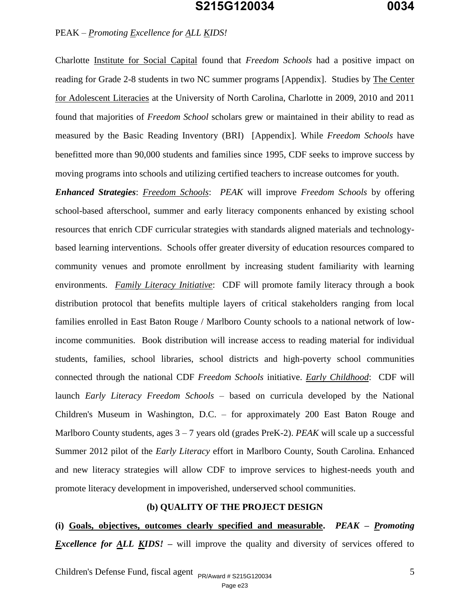#### PEAK *– Promoting Excellence for ALL KIDS!*

Charlotte Institute for Social Capital found that *Freedom Schools* had a positive impact on reading for Grade 2-8 students in two NC summer programs [Appendix]. Studies by The Center for Adolescent Literacies at the University of North Carolina, Charlotte in 2009, 2010 and 2011 found that majorities of *Freedom School* scholars grew or maintained in their ability to read as measured by the Basic Reading Inventory (BRI) [Appendix]. While *Freedom Schools* have benefitted more than 90,000 students and families since 1995, CDF seeks to improve success by moving programs into schools and utilizing certified teachers to increase outcomes for youth.

*Enhanced Strategies*: *Freedom Schools*: *PEAK* will improve *Freedom Schools* by offering school-based afterschool, summer and early literacy components enhanced by existing school resources that enrich CDF curricular strategies with standards aligned materials and technologybased learning interventions. Schools offer greater diversity of education resources compared to community venues and promote enrollment by increasing student familiarity with learning environments. *Family Literacy Initiative*: CDF will promote family literacy through a book distribution protocol that benefits multiple layers of critical stakeholders ranging from local families enrolled in East Baton Rouge / Marlboro County schools to a national network of lowincome communities. Book distribution will increase access to reading material for individual students, families, school libraries, school districts and high-poverty school communities connected through the national CDF *Freedom Schools* initiative. *Early Childhood*:CDF will launch *Early Literacy Freedom Schools* – based on curricula developed by the National Children's Museum in Washington, D.C. – for approximately 200 East Baton Rouge and Marlboro County students, ages 3 – 7 years old (grades PreK-2). *PEAK* will scale up a successful Summer 2012 pilot of the *Early Literacy* effort in Marlboro County, South Carolina. Enhanced and new literacy strategies will allow CDF to improve services to highest-needs youth and promote literacy development in impoverished, underserved school communities.

#### **(b) QUALITY OF THE PROJECT DESIGN**

**(i) Goals, objectives, outcomes clearly specified and measurable.** *PEAK – Promoting Excellence for ALL KIDS!* – will improve the quality and diversity of services offered to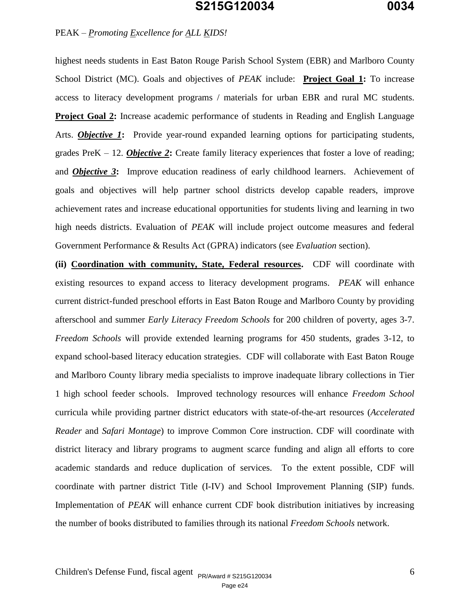### PEAK *– Promoting Excellence for ALL KIDS!*

highest needs students in East Baton Rouge Parish School System (EBR) and Marlboro County School District (MC). Goals and objectives of *PEAK* include: **Project Goal 1:** To increase access to literacy development programs / materials for urban EBR and rural MC students. **Project Goal 2:** Increase academic performance of students in Reading and English Language Arts. *Objective 1***:** Provide year-round expanded learning options for participating students, grades PreK – 12. *Objective 2***:** Create family literacy experiences that foster a love of reading; and *Objective 3***:** Improve education readiness of early childhood learners. Achievement of goals and objectives will help partner school districts develop capable readers, improve achievement rates and increase educational opportunities for students living and learning in two high needs districts. Evaluation of *PEAK* will include project outcome measures and federal Government Performance & Results Act (GPRA) indicators (see *Evaluation* section).

**(ii) Coordination with community, State, Federal resources.** CDF will coordinate with existing resources to expand access to literacy development programs. *PEAK* will enhance current district-funded preschool efforts in East Baton Rouge and Marlboro County by providing afterschool and summer *Early Literacy Freedom Schools* for 200 children of poverty, ages 3-7. *Freedom Schools* will provide extended learning programs for 450 students, grades 3-12, to expand school-based literacy education strategies. CDF will collaborate with East Baton Rouge and Marlboro County library media specialists to improve inadequate library collections in Tier 1 high school feeder schools. Improved technology resources will enhance *Freedom School*  curricula while providing partner district educators with state-of-the-art resources (*Accelerated Reader* and *Safari Montage*) to improve Common Core instruction. CDF will coordinate with district literacy and library programs to augment scarce funding and align all efforts to core academic standards and reduce duplication of services. To the extent possible, CDF will coordinate with partner district Title (I-IV) and School Improvement Planning (SIP) funds. Implementation of *PEAK* will enhance current CDF book distribution initiatives by increasing the number of books distributed to families through its national *Freedom Schools* network.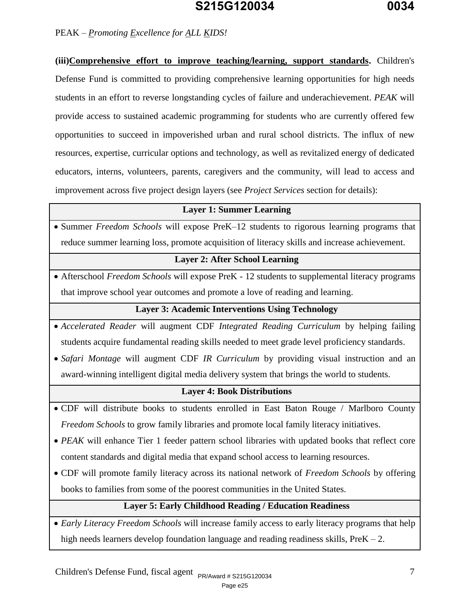### PEAK *– Promoting Excellence for ALL KIDS!*

**(iii)Comprehensive effort to improve teaching/learning, support standards.** Children's Defense Fund is committed to providing comprehensive learning opportunities for high needs students in an effort to reverse longstanding cycles of failure and underachievement. *PEAK* will provide access to sustained academic programming for students who are currently offered few opportunities to succeed in impoverished urban and rural school districts. The influx of new resources, expertise, curricular options and technology, as well as revitalized energy of dedicated educators, interns, volunteers, parents, caregivers and the community, will lead to access and improvement across five project design layers (see *Project Services* section for details):

#### **Layer 1: Summer Learning**

• Summer *Freedom Schools* will expose PreK–12 students to rigorous learning programs that reduce summer learning loss, promote acquisition of literacy skills and increase achievement.

#### **Layer 2: After School Learning**

 Afterschool *Freedom Schools* will expose PreK - 12 students to supplemental literacy programs that improve school year outcomes and promote a love of reading and learning.

#### **Layer 3: Academic Interventions Using Technology**

- *Accelerated Reader* will augment CDF *Integrated Reading Curriculum* by helping failing students acquire fundamental reading skills needed to meet grade level proficiency standards.
- *Safari Montage* will augment CDF *IR Curriculum* by providing visual instruction and an award-winning intelligent digital media delivery system that brings the world to students.

#### **Layer 4: Book Distributions**

- CDF will distribute books to students enrolled in East Baton Rouge / Marlboro County *Freedom Schools* to grow family libraries and promote local family literacy initiatives.
- PEAK will enhance Tier 1 feeder pattern school libraries with updated books that reflect core content standards and digital media that expand school access to learning resources.
- CDF will promote family literacy across its national network of *Freedom Schools* by offering books to families from some of the poorest communities in the United States.

### **Layer 5: Early Childhood Reading / Education Readiness**

 *Early Literacy Freedom Schools* will increase family access to early literacy programs that help high needs learners develop foundation language and reading readiness skills, PreK – 2.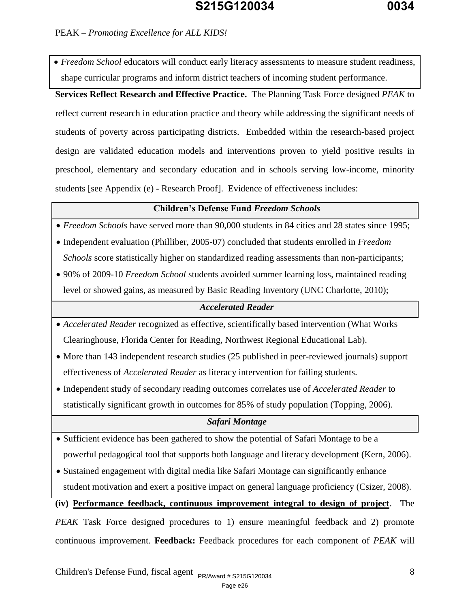### PEAK *– Promoting Excellence for ALL KIDS!*

 *Freedom School* educators will conduct early literacy assessments to measure student readiness, shape curricular programs and inform district teachers of incoming student performance.

#### **Services Reflect Research and Effective Practice.** The Planning Task Force designed *PEAK* to

reflect current research in education practice and theory while addressing the significant needs of students of poverty across participating districts. Embedded within the research-based project design are validated education models and interventions proven to yield positive results in preschool, elementary and secondary education and in schools serving low-income, minority students [see Appendix (e) - Research Proof]. Evidence of effectiveness includes:

### **Children's Defense Fund** *Freedom Schools*

*Freedom Schools* have served more than 90,000 students in 84 cities and 28 states since 1995;

 Independent evaluation (Philliber, 2005-07) concluded that students enrolled in *Freedom Schools* score statistically higher on standardized reading assessments than non-participants;

 90% of 2009-10 *Freedom School* students avoided summer learning loss, maintained reading level or showed gains, as measured by Basic Reading Inventory (UNC Charlotte, 2010);

### *Accelerated Reader*

- *Accelerated Reader* recognized as effective, scientifically based intervention (What Works Clearinghouse, Florida Center for Reading, Northwest Regional Educational Lab).
- More than 143 independent research studies (25 published in peer-reviewed journals) support effectiveness of *Accelerated Reader* as literacy intervention for failing students.
- Independent study of secondary reading outcomes correlates use of *Accelerated Reader* to statistically significant growth in outcomes for 85% of study population (Topping, 2006).

### *Safari Montage*

- Sufficient evidence has been gathered to show the potential of Safari Montage to be a powerful pedagogical tool that supports both language and literacy development (Kern, 2006).
- Sustained engagement with digital media like Safari Montage can significantly enhance student motivation and exert a positive impact on general language proficiency (Csizer, 2008).

## **(iv) Performance feedback, continuous improvement integral to design of project**. The

*PEAK* Task Force designed procedures to 1) ensure meaningful feedback and 2) promote continuous improvement. **Feedback:** Feedback procedures for each component of *PEAK* will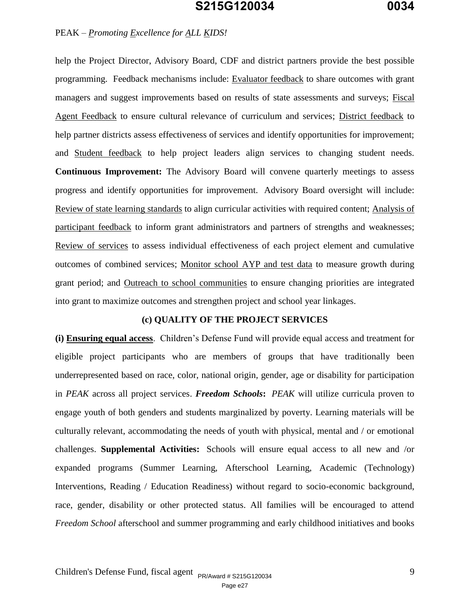#### PEAK *– Promoting Excellence for ALL KIDS!*

help the Project Director, Advisory Board, CDF and district partners provide the best possible programming. Feedback mechanisms include: Evaluator feedback to share outcomes with grant managers and suggest improvements based on results of state assessments and surveys; Fiscal Agent Feedback to ensure cultural relevance of curriculum and services; District feedback to help partner districts assess effectiveness of services and identify opportunities for improvement; and Student feedback to help project leaders align services to changing student needs. **Continuous Improvement:** The Advisory Board will convene quarterly meetings to assess progress and identify opportunities for improvement. Advisory Board oversight will include: Review of state learning standards to align curricular activities with required content; Analysis of participant feedback to inform grant administrators and partners of strengths and weaknesses; Review of services to assess individual effectiveness of each project element and cumulative outcomes of combined services; Monitor school AYP and test data to measure growth during grant period; and Outreach to school communities to ensure changing priorities are integrated into grant to maximize outcomes and strengthen project and school year linkages.

#### **(c) QUALITY OF THE PROJECT SERVICES**

**(i) Ensuring equal access**. Children's Defense Fund will provide equal access and treatment for eligible project participants who are members of groups that have traditionally been underrepresented based on race, color, national origin, gender, age or disability for participation in *PEAK* across all project services. *Freedom Schools***:** *PEAK* will utilize curricula proven to engage youth of both genders and students marginalized by poverty. Learning materials will be culturally relevant, accommodating the needs of youth with physical, mental and / or emotional challenges. **Supplemental Activities:** Schools will ensure equal access to all new and /or expanded programs (Summer Learning, Afterschool Learning, Academic (Technology) Interventions, Reading / Education Readiness) without regard to socio-economic background, race, gender, disability or other protected status. All families will be encouraged to attend *Freedom School* afterschool and summer programming and early childhood initiatives and books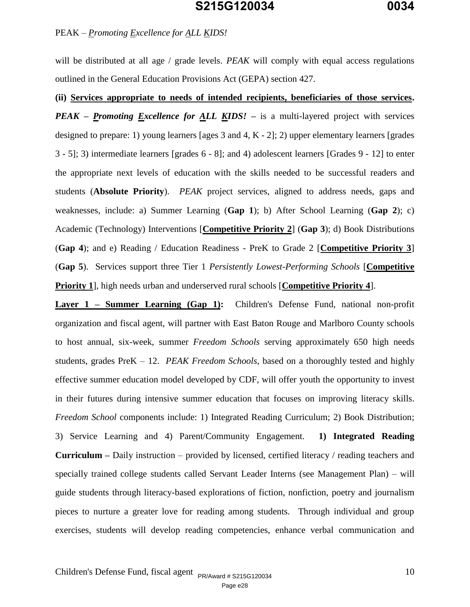#### PEAK *– Promoting Excellence for ALL KIDS!*

will be distributed at all age / grade levels. *PEAK* will comply with equal access regulations outlined in the General Education Provisions Act (GEPA) section 427.

**(ii) Services appropriate to needs of intended recipients, beneficiaries of those services.** *PEAK – Promoting Excellence for ALL KIDS!* **–** is a multi-layered project with services designed to prepare: 1) young learners [ages 3 and 4, K - 2]; 2) upper elementary learners [grades 3 - 5]; 3) intermediate learners [grades 6 - 8]; and 4) adolescent learners [Grades 9 - 12] to enter the appropriate next levels of education with the skills needed to be successful readers and students (**Absolute Priority**). *PEAK* project services, aligned to address needs, gaps and weaknesses*,* include: a) Summer Learning (**Gap 1**); b) After School Learning (**Gap 2**); c) Academic (Technology) Interventions [**Competitive Priority 2**] (**Gap 3**); d) Book Distributions (**Gap 4**); and e) Reading / Education Readiness - PreK to Grade 2 [**Competitive Priority 3**] (**Gap 5**). Services support three Tier 1 *Persistently Lowest-Performing Schools* [**Competitive Priority 1**], high needs urban and underserved rural schools [**Competitive Priority 4**].

**Layer 1 – Summer Learning (Gap 1):** Children's Defense Fund, national non-profit organization and fiscal agent, will partner with East Baton Rouge and Marlboro County schools to host annual, six-week, summer *Freedom Schools* serving approximately 650 high needs students, grades PreK – 12. *PEAK Freedom Schools*, based on a thoroughly tested and highly effective summer education model developed by CDF, will offer youth the opportunity to invest in their futures during intensive summer education that focuses on improving literacy skills. *Freedom School* components include: 1) Integrated Reading Curriculum; 2) Book Distribution; 3) Service Learning and 4) Parent/Community Engagement. **1) Integrated Reading Curriculum –** Daily instruction – provided by licensed, certified literacy / reading teachers and specially trained college students called Servant Leader Interns (see Management Plan) – will guide students through literacy-based explorations of fiction, nonfiction, poetry and journalism pieces to nurture a greater love for reading among students. Through individual and group exercises, students will develop reading competencies, enhance verbal communication and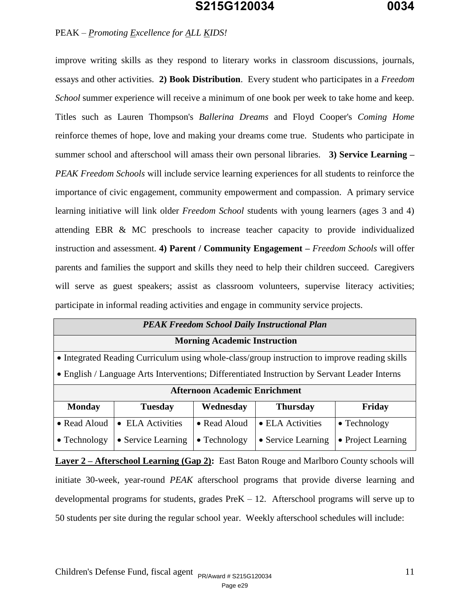#### PEAK *– Promoting Excellence for ALL KIDS!*

improve writing skills as they respond to literary works in classroom discussions, journals, essays and other activities. **2) Book Distribution**. Every student who participates in a *Freedom School* summer experience will receive a minimum of one book per week to take home and keep. Titles such as Lauren Thompson's *Ballerina Dreams* and Floyd Cooper's *Coming Home* reinforce themes of hope, love and making your dreams come true. Students who participate in summer school and afterschool will amass their own personal libraries. **3) Service Learning –** *PEAK Freedom Schools* will include service learning experiences for all students to reinforce the importance of civic engagement, community empowerment and compassion. A primary service learning initiative will link older *Freedom School* students with young learners (ages 3 and 4) attending EBR & MC preschools to increase teacher capacity to provide individualized instruction and assessment. **4) Parent / Community Engagement –** *Freedom Schools* will offer parents and families the support and skills they need to help their children succeed. Caregivers will serve as guest speakers; assist as classroom volunteers, supervise literacy activities; participate in informal reading activities and engage in community service projects.

| <b>PEAK Freedom School Daily Instructional Plan</b> |                                                                                               |                      |                    |                      |  |
|-----------------------------------------------------|-----------------------------------------------------------------------------------------------|----------------------|--------------------|----------------------|--|
|                                                     | <b>Morning Academic Instruction</b>                                                           |                      |                    |                      |  |
|                                                     | • Integrated Reading Curriculum using whole-class/group instruction to improve reading skills |                      |                    |                      |  |
|                                                     | • English / Language Arts Interventions; Differentiated Instruction by Servant Leader Interns |                      |                    |                      |  |
|                                                     | <b>Afternoon Academic Enrichment</b>                                                          |                      |                    |                      |  |
| <b>Monday</b>                                       | <b>Tuesday</b>                                                                                | Wednesday            | <b>Thursday</b>    | Friday               |  |
| • Read Aloud                                        | • ELA Activities                                                                              | • Read Aloud         | • ELA Activities   | $\bullet$ Technology |  |
| $\bullet$ Technology                                | • Service Learning                                                                            | $\bullet$ Technology | • Service Learning | • Project Learning   |  |

**Layer 2 – Afterschool Learning (Gap 2):** East Baton Rouge and Marlboro County schools will initiate 30-week, year-round *PEAK* afterschool programs that provide diverse learning and developmental programs for students, grades  $PreK - 12$ . Afterschool programs will serve up to 50 students per site during the regular school year. Weekly afterschool schedules will include: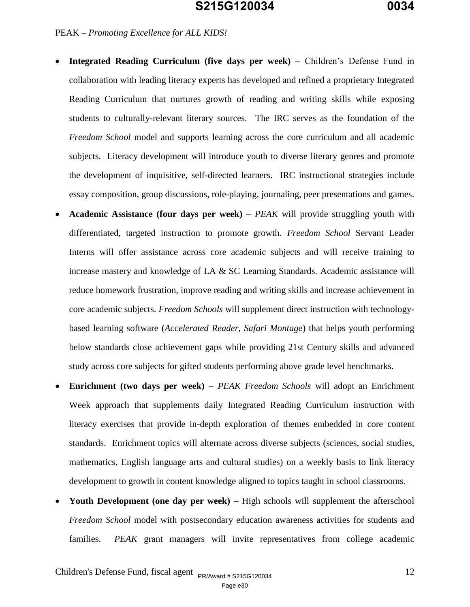PEAK *– Promoting Excellence for ALL KIDS!* 

- **Integrated Reading Curriculum (five days per week) –** Children's Defense Fund in collaboration with leading literacy experts has developed and refined a proprietary Integrated Reading Curriculum that nurtures growth of reading and writing skills while exposing students to culturally-relevant literary sources. The IRC serves as the foundation of the *Freedom School* model and supports learning across the core curriculum and all academic subjects. Literacy development will introduce youth to diverse literary genres and promote the development of inquisitive, self-directed learners. IRC instructional strategies include essay composition, group discussions, role-playing, journaling, peer presentations and games.
- **Academic Assistance (four days per week) –** *PEAK* will provide struggling youth with differentiated, targeted instruction to promote growth. *Freedom School* Servant Leader Interns will offer assistance across core academic subjects and will receive training to increase mastery and knowledge of LA & SC Learning Standards. Academic assistance will reduce homework frustration, improve reading and writing skills and increase achievement in core academic subjects. *Freedom Schools* will supplement direct instruction with technologybased learning software (*Accelerated Reader, Safari Montage*) that helps youth performing below standards close achievement gaps while providing 21st Century skills and advanced study across core subjects for gifted students performing above grade level benchmarks.
- **Enrichment (two days per week) –** *PEAK Freedom Schools* will adopt an Enrichment Week approach that supplements daily Integrated Reading Curriculum instruction with literacy exercises that provide in-depth exploration of themes embedded in core content standards. Enrichment topics will alternate across diverse subjects (sciences, social studies, mathematics, English language arts and cultural studies) on a weekly basis to link literacy development to growth in content knowledge aligned to topics taught in school classrooms.
- Youth Development (one day per week) High schools will supplement the afterschool *Freedom School* model with postsecondary education awareness activities for students and families. *PEAK* grant managers will invite representatives from college academic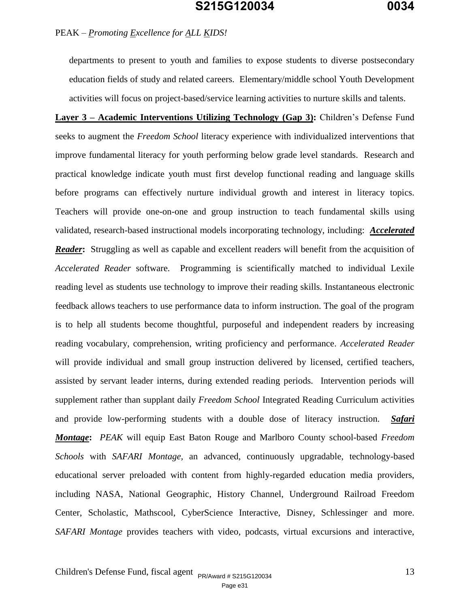departments to present to youth and families to expose students to diverse postsecondary education fields of study and related careers. Elementary/middle school Youth Development activities will focus on project-based/service learning activities to nurture skills and talents.

**Layer 3 – Academic Interventions Utilizing Technology (Gap 3):** Children's Defense Fund seeks to augment the *Freedom School* literacy experience with individualized interventions that improve fundamental literacy for youth performing below grade level standards. Research and practical knowledge indicate youth must first develop functional reading and language skills before programs can effectively nurture individual growth and interest in literacy topics. Teachers will provide one-on-one and group instruction to teach fundamental skills using validated, research-based instructional models incorporating technology, including: *Accelerated Reader***:** Struggling as well as capable and excellent readers will benefit from the acquisition of *Accelerated Reader* software. Programming is scientifically matched to individual Lexile reading level as students use technology to improve their reading skills. Instantaneous electronic feedback allows teachers to use performance data to inform instruction. The goal of the program is to help all students become thoughtful, purposeful and independent readers by increasing reading vocabulary, comprehension, writing proficiency and performance. *Accelerated Reader*  will provide individual and small group instruction delivered by licensed, certified teachers, assisted by servant leader interns, during extended reading periods. Intervention periods will supplement rather than supplant daily *Freedom School* Integrated Reading Curriculum activities and provide low-performing students with a double dose of literacy instruction. *Safari Montage***:** *PEAK* will equip East Baton Rouge and Marlboro County school-based *Freedom Schools* with *SAFARI Montage,* an advanced, continuously upgradable, technology-based educational server preloaded with content from highly-regarded education media providers, including NASA, National Geographic, History Channel, Underground Railroad Freedom Center, Scholastic, Mathscool, CyberScience Interactive, Disney, Schlessinger and more. *SAFARI Montage* provides teachers with video, podcasts, virtual excursions and interactive,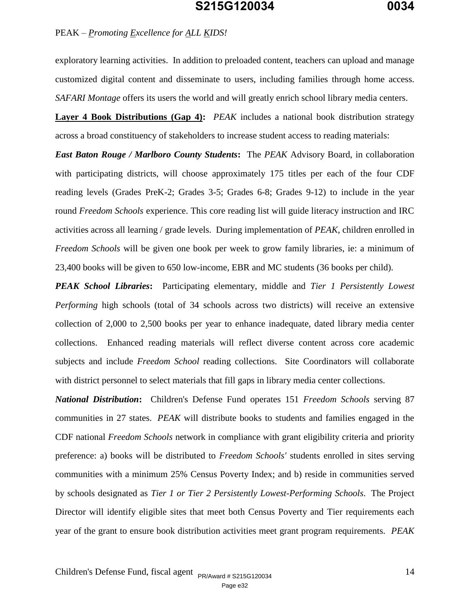#### PEAK *– Promoting Excellence for ALL KIDS!*

exploratory learning activities. In addition to preloaded content, teachers can upload and manage customized digital content and disseminate to users, including families through home access. *SAFARI Montage* offers its users the world and will greatly enrich school library media centers.

**Layer 4 Book Distributions (Gap 4):** *PEAK* includes a national book distribution strategy across a broad constituency of stakeholders to increase student access to reading materials:

*East Baton Rouge / Marlboro County Students***:** The *PEAK* Advisory Board, in collaboration with participating districts, will choose approximately 175 titles per each of the four CDF reading levels (Grades PreK-2; Grades 3-5; Grades 6-8; Grades 9-12) to include in the year round *Freedom Schools* experience. This core reading list will guide literacy instruction and IRC activities across all learning / grade levels. During implementation of *PEAK*, children enrolled in *Freedom Schools* will be given one book per week to grow family libraries, ie: a minimum of 23,400 books will be given to 650 low-income, EBR and MC students (36 books per child).

*PEAK School Libraries***:** Participating elementary, middle and *Tier 1 Persistently Lowest Performing* high schools (total of 34 schools across two districts) will receive an extensive collection of 2,000 to 2,500 books per year to enhance inadequate, dated library media center collections. Enhanced reading materials will reflect diverse content across core academic subjects and include *Freedom School* reading collections. Site Coordinators will collaborate with district personnel to select materials that fill gaps in library media center collections.

*National Distribution***:** Children's Defense Fund operates 151 *Freedom Schools* serving 87 communities in 27 states. *PEAK* will distribute books to students and families engaged in the CDF national *Freedom Schools* network in compliance with grant eligibility criteria and priority preference: a) books will be distributed to *Freedom Schools'* students enrolled in sites serving communities with a minimum 25% Census Poverty Index; and b) reside in communities served by schools designated as *Tier 1 or Tier 2 Persistently Lowest-Performing Schools*. The Project Director will identify eligible sites that meet both Census Poverty and Tier requirements each year of the grant to ensure book distribution activities meet grant program requirements. *PEAK*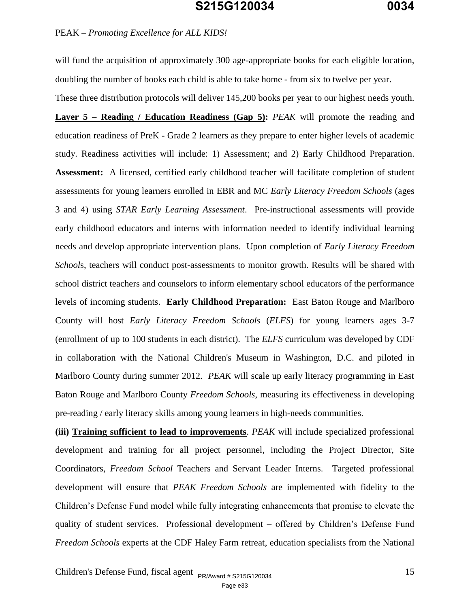### PEAK *– Promoting Excellence for ALL KIDS!*

will fund the acquisition of approximately 300 age-appropriate books for each eligible location, doubling the number of books each child is able to take home - from six to twelve per year.

These three distribution protocols will deliver 145,200 books per year to our highest needs youth. **Layer 5 – Reading / Education Readiness (Gap 5):** *PEAK* will promote the reading and education readiness of PreK - Grade 2 learners as they prepare to enter higher levels of academic study. Readiness activities will include: 1) Assessment; and 2) Early Childhood Preparation. **Assessment:** A licensed, certified early childhood teacher will facilitate completion of student assessments for young learners enrolled in EBR and MC *Early Literacy Freedom Schools* (ages 3 and 4) using *STAR Early Learning Assessment*. Pre-instructional assessments will provide early childhood educators and interns with information needed to identify individual learning needs and develop appropriate intervention plans. Upon completion of *Early Literacy Freedom School*s, teachers will conduct post-assessments to monitor growth. Results will be shared with school district teachers and counselors to inform elementary school educators of the performance levels of incoming students. **Early Childhood Preparation:** East Baton Rouge and Marlboro County will host *Early Literacy Freedom Schools* (*ELFS*) for young learners ages 3-7 (enrollment of up to 100 students in each district). The *ELFS* curriculum was developed by CDF in collaboration with the National Children's Museum in Washington, D.C. and piloted in Marlboro County during summer 2012. *PEAK* will scale up early literacy programming in East Baton Rouge and Marlboro County *Freedom Schools*, measuring its effectiveness in developing pre-reading / early literacy skills among young learners in high-needs communities.

**(iii) Training sufficient to lead to improvements**. *PEAK* will include specialized professional development and training for all project personnel, including the Project Director, Site Coordinators, *Freedom School* Teachers and Servant Leader Interns. Targeted professional development will ensure that *PEAK Freedom Schools* are implemented with fidelity to the Children's Defense Fund model while fully integrating enhancements that promise to elevate the quality of student services. Professional development – offered by Children's Defense Fund *Freedom Schools* experts at the CDF Haley Farm retreat, education specialists from the National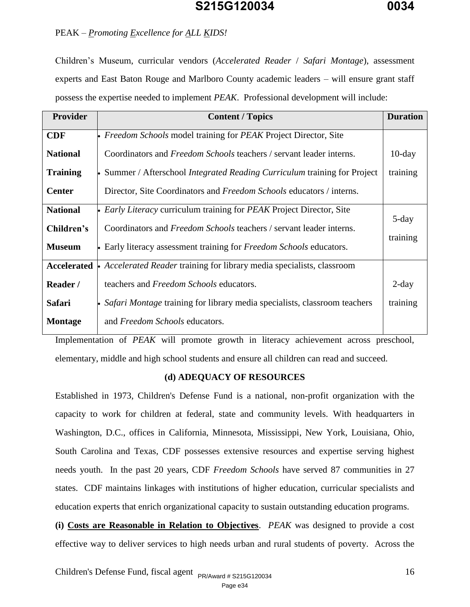#### PEAK *– Promoting Excellence for ALL KIDS!*

Children's Museum, curricular vendors (*Accelerated Reader* / *Safari Montage*), assessment experts and East Baton Rouge and Marlboro County academic leaders – will ensure grant staff possess the expertise needed to implement *PEAK*. Professional development will include:

| <b>Provider</b> | <b>Content / Topics</b>                                                          | <b>Duration</b> |
|-----------------|----------------------------------------------------------------------------------|-----------------|
| <b>CDF</b>      | Freedom Schools model training for PEAK Project Director, Site                   |                 |
| <b>National</b> | Coordinators and Freedom Schools teachers / servant leader interns.              | $10$ -day       |
| <b>Training</b> | Summer / Afterschool <i>Integrated Reading Curriculum</i> training for Project   | training        |
| <b>Center</b>   | Director, Site Coordinators and Freedom Schools educators / interns.             |                 |
| <b>National</b> | <i>Early Literacy</i> curriculum training for <i>PEAK</i> Project Director, Site |                 |
| Children's      | Coordinators and <i>Freedom Schools</i> teachers / servant leader interns.       | 5-day           |
| <b>Museum</b>   | • Early literacy assessment training for Freedom Schools educators.              | training        |
| Accelerated     | • Accelerated Reader training for library media specialists, classroom           |                 |
| Reader /        | teachers and Freedom Schools educators.                                          | $2$ -day        |
| Safari          | Safari Montage training for library media specialists, classroom teachers        | training        |
| <b>Montage</b>  | and Freedom Schools educators.                                                   |                 |

Implementation of *PEAK* will promote growth in literacy achievement across preschool, elementary, middle and high school students and ensure all children can read and succeed.

#### **(d) ADEQUACY OF RESOURCES**

Established in 1973, Children's Defense Fund is a national, non-profit organization with the capacity to work for children at federal, state and community levels. With headquarters in Washington, D.C., offices in California, Minnesota, Mississippi, New York, Louisiana, Ohio, South Carolina and Texas, CDF possesses extensive resources and expertise serving highest needs youth. In the past 20 years, CDF *Freedom Schools* have served 87 communities in 27 states. CDF maintains linkages with institutions of higher education, curricular specialists and education experts that enrich organizational capacity to sustain outstanding education programs.

**(i) Costs are Reasonable in Relation to Objectives**.*PEAK* was designed to provide a cost effective way to deliver services to high needs urban and rural students of poverty. Across the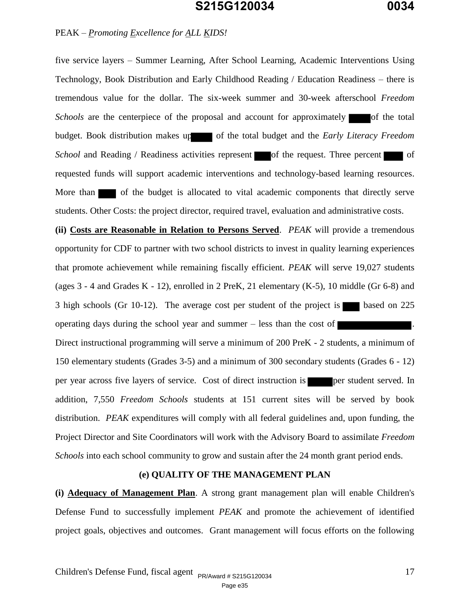#### PEAK *– Promoting Excellence for ALL KIDS!*

five service layers – Summer Learning, After School Learning, Academic Interventions Using Technology, Book Distribution and Early Childhood Reading / Education Readiness – there is tremendous value for the dollar. The six-week summer and 30-week afterschool *Freedom Schools* are the centerpiece of the proposal and account for approximately of the total budget. Book distribution makes up of the total budget and the *Early Literacy Freedom School* and Reading / Readiness activities represent of the request. Three percent of requested funds will support academic interventions and technology-based learning resources. More than of the budget is allocated to vital academic components that directly serve students. Other Costs: the project director, required travel, evaluation and administrative costs.

**(ii) Costs are Reasonable in Relation to Persons Served**.*PEAK* will provide a tremendous opportunity for CDF to partner with two school districts to invest in quality learning experiences that promote achievement while remaining fiscally efficient. *PEAK* will serve 19,027 students (ages  $3 - 4$  and Grades K - 12), enrolled in 2 PreK, 21 elementary (K-5), 10 middle (Gr 6-8) and 3 high schools (Gr 10-12). The average cost per student of the project is based on 225 operating days during the school year and summer – less than the cost of . Direct instructional programming will serve a minimum of 200 PreK - 2 students, a minimum of 150 elementary students (Grades 3-5) and a minimum of 300 secondary students (Grades 6 - 12) per year across five layers of service. Cost of direct instruction is per student served. In addition, 7,550 *Freedom Schools* students at 151 current sites will be served by book distribution. *PEAK* expenditures will comply with all federal guidelines and, upon funding, the Project Director and Site Coordinators will work with the Advisory Board to assimilate *Freedom Schools* into each school community to grow and sustain after the 24 month grant period ends.

#### **(e) QUALITY OF THE MANAGEMENT PLAN**

**(i) Adequacy of Management Plan**. A strong grant management plan will enable Children's Defense Fund to successfully implement *PEAK* and promote the achievement of identified project goals, objectives and outcomes. Grant management will focus efforts on the following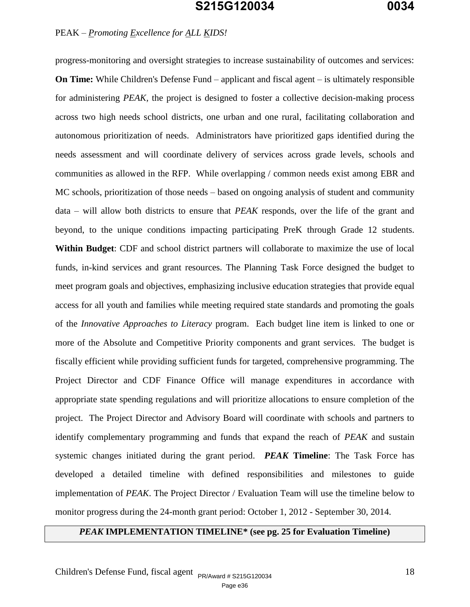#### PEAK *– Promoting Excellence for ALL KIDS!*

progress-monitoring and oversight strategies to increase sustainability of outcomes and services: **On Time:** While Children's Defense Fund – applicant and fiscal agent – is ultimately responsible for administering *PEAK,* the project is designed to foster a collective decision-making process across two high needs school districts, one urban and one rural, facilitating collaboration and autonomous prioritization of needs. Administrators have prioritized gaps identified during the needs assessment and will coordinate delivery of services across grade levels, schools and communities as allowed in the RFP. While overlapping / common needs exist among EBR and MC schools, prioritization of those needs – based on ongoing analysis of student and community data – will allow both districts to ensure that *PEAK* responds, over the life of the grant and beyond, to the unique conditions impacting participating PreK through Grade 12 students. **Within Budget**: CDF and school district partners will collaborate to maximize the use of local funds, in-kind services and grant resources. The Planning Task Force designed the budget to meet program goals and objectives, emphasizing inclusive education strategies that provide equal access for all youth and families while meeting required state standards and promoting the goals of the *Innovative Approaches to Literacy* program. Each budget line item is linked to one or more of the Absolute and Competitive Priority components and grant services. The budget is fiscally efficient while providing sufficient funds for targeted, comprehensive programming. The Project Director and CDF Finance Office will manage expenditures in accordance with appropriate state spending regulations and will prioritize allocations to ensure completion of the project. The Project Director and Advisory Board will coordinate with schools and partners to identify complementary programming and funds that expand the reach of *PEAK* and sustain systemic changes initiated during the grant period. *PEAK* **Timeline**: The Task Force has developed a detailed timeline with defined responsibilities and milestones to guide implementation of *PEAK*. The Project Director / Evaluation Team will use the timeline below to monitor progress during the 24-month grant period: October 1, 2012 - September 30, 2014.

### *PEAK* **IMPLEMENTATION TIMELINE\* (see pg. 25 for Evaluation Timeline)**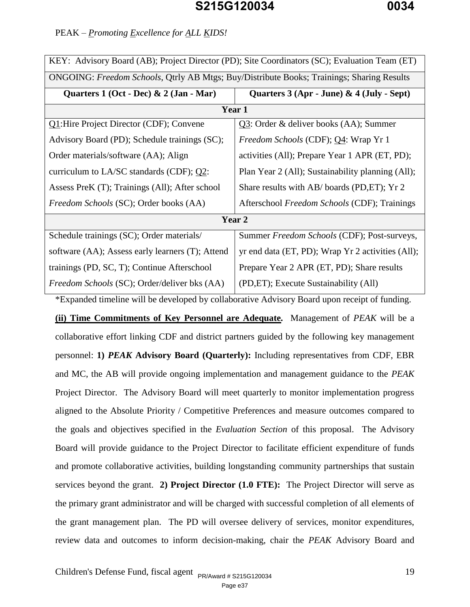|  | PEAK - Promoting Excellence for ALL KIDS! |
|--|-------------------------------------------|
|  |                                           |

| KEY: Advisory Board (AB); Project Director (PD); Site Coordinators (SC); Evaluation Team (ET) |                                                   |  |  |  |
|-----------------------------------------------------------------------------------------------|---------------------------------------------------|--|--|--|
| ONGOING: Freedom Schools, Qtrly AB Mtgs; Buy/Distribute Books; Trainings; Sharing Results     |                                                   |  |  |  |
| Quarters $1$ (Oct - Dec) & $2$ (Jan - Mar)                                                    | Quarters $3$ (Apr - June) & $4$ (July - Sept)     |  |  |  |
|                                                                                               | Year 1                                            |  |  |  |
| Q1: Hire Project Director (CDF); Convene                                                      | Q3: Order & deliver books (AA); Summer            |  |  |  |
| Advisory Board (PD); Schedule trainings (SC);                                                 | <i>Freedom Schools</i> (CDF); Q4: Wrap Yr 1       |  |  |  |
| Order materials/software (AA); Align                                                          | activities (All); Prepare Year 1 APR (ET, PD);    |  |  |  |
| curriculum to LA/SC standards (CDF); $Q2$ :                                                   | Plan Year 2 (All); Sustainability planning (All); |  |  |  |
| Assess PreK (T); Trainings (All); After school                                                | Share results with AB/boards (PD, ET); Yr 2       |  |  |  |
| <i>Freedom Schools</i> (SC); Order books (AA)                                                 | Afterschool Freedom Schools (CDF); Trainings      |  |  |  |
| Year 2                                                                                        |                                                   |  |  |  |
| Schedule trainings (SC); Order materials/                                                     | Summer Freedom Schools (CDF); Post-surveys,       |  |  |  |
| software (AA); Assess early learners (T); Attend                                              | yr end data (ET, PD); Wrap Yr 2 activities (All); |  |  |  |
| trainings (PD, SC, T); Continue Afterschool                                                   | Prepare Year 2 APR (ET, PD); Share results        |  |  |  |
| Freedom Schools (SC); Order/deliver bks (AA)                                                  | (PD, ET); Execute Sustainability (All)            |  |  |  |
| *Expanded timeline will be developed by collaborative Advisory Board upon receipt of funding. |                                                   |  |  |  |

**(ii) Time Commitments of Key Personnel are Adequate***.* Management of *PEAK* will be a collaborative effort linking CDF and district partners guided by the following key management personnel: **1)** *PEAK* **Advisory Board (Quarterly):** Including representatives from CDF, EBR and MC, the AB will provide ongoing implementation and management guidance to the *PEAK* Project Director. The Advisory Board will meet quarterly to monitor implementation progress aligned to the Absolute Priority / Competitive Preferences and measure outcomes compared to the goals and objectives specified in the *Evaluation Section* of this proposal. The Advisory Board will provide guidance to the Project Director to facilitate efficient expenditure of funds and promote collaborative activities, building longstanding community partnerships that sustain services beyond the grant. **2) Project Director (1.0 FTE):** The Project Director will serve as the primary grant administrator and will be charged with successful completion of all elements of the grant management plan. The PD will oversee delivery of services, monitor expenditures, review data and outcomes to inform decision-making, chair the *PEAK* Advisory Board and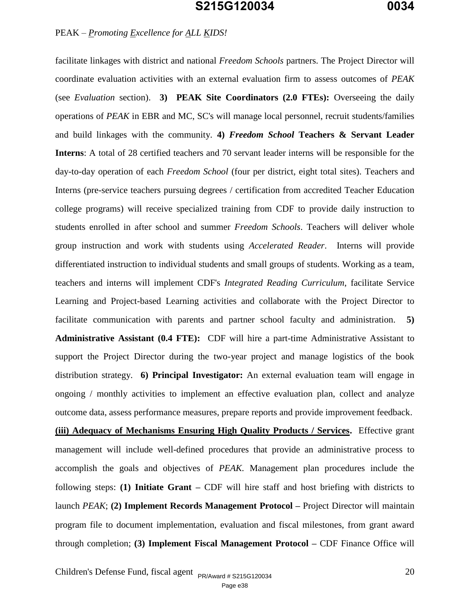### PEAK *– Promoting Excellence for ALL KIDS!*

facilitate linkages with district and national *Freedom Schools* partners. The Project Director will coordinate evaluation activities with an external evaluation firm to assess outcomes of *PEAK* (see *Evaluation* section). **3) PEAK Site Coordinators (2.0 FTEs):** Overseeing the daily operations of *PEAK* in EBR and MC, SC's will manage local personnel, recruit students/families and build linkages with the community. **4)** *Freedom School* **Teachers & Servant Leader Interns**: A total of 28 certified teachers and 70 servant leader interns will be responsible for the day-to-day operation of each *Freedom School* (four per district, eight total sites). Teachers and Interns (pre-service teachers pursuing degrees / certification from accredited Teacher Education college programs) will receive specialized training from CDF to provide daily instruction to students enrolled in after school and summer *Freedom Schools*. Teachers will deliver whole group instruction and work with students using *Accelerated Reader*. Interns will provide differentiated instruction to individual students and small groups of students. Working as a team, teachers and interns will implement CDF's *Integrated Reading Curriculum*, facilitate Service Learning and Project-based Learning activities and collaborate with the Project Director to facilitate communication with parents and partner school faculty and administration. **5) Administrative Assistant (0.4 FTE):** CDF will hire a part-time Administrative Assistant to support the Project Director during the two-year project and manage logistics of the book distribution strategy. **6) Principal Investigator:** An external evaluation team will engage in ongoing / monthly activities to implement an effective evaluation plan, collect and analyze outcome data, assess performance measures, prepare reports and provide improvement feedback.

**(iii) Adequacy of Mechanisms Ensuring High Quality Products / Services.** Effective grant management will include well-defined procedures that provide an administrative process to accomplish the goals and objectives of *PEAK.* Management plan procedures include the following steps: **(1) Initiate Grant –** CDF will hire staff and host briefing with districts to launch *PEAK*; **(2) Implement Records Management Protocol –** Project Director will maintain program file to document implementation, evaluation and fiscal milestones, from grant award through completion; **(3) Implement Fiscal Management Protocol –** CDF Finance Office will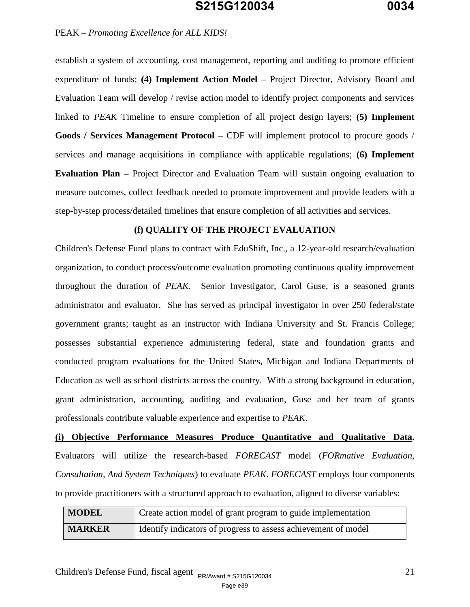#### PEAK *– Promoting Excellence for ALL KIDS!*

establish a system of accounting, cost management, reporting and auditing to promote efficient expenditure of funds; **(4) Implement Action Model –** Project Director, Advisory Board and Evaluation Team will develop / revise action model to identify project components and services linked to *PEAK* Timeline to ensure completion of all project design layers; **(5) Implement Goods / Services Management Protocol –** CDF will implement protocol to procure goods / services and manage acquisitions in compliance with applicable regulations; **(6) Implement Evaluation Plan –** Project Director and Evaluation Team will sustain ongoing evaluation to measure outcomes, collect feedback needed to promote improvement and provide leaders with a step-by-step process/detailed timelines that ensure completion of all activities and services.

#### **(f) QUALITY OF THE PROJECT EVALUATION**

Children's Defense Fund plans to contract with EduShift, Inc., a 12-year-old research/evaluation organization, to conduct process/outcome evaluation promoting continuous quality improvement throughout the duration of *PEAK*. Senior Investigator, Carol Guse, is a seasoned grants administrator and evaluator. She has served as principal investigator in over 250 federal/state government grants; taught as an instructor with Indiana University and St. Francis College; possesses substantial experience administering federal, state and foundation grants and conducted program evaluations for the United States, Michigan and Indiana Departments of Education as well as school districts across the country. With a strong background in education, grant administration, accounting, auditing and evaluation, Guse and her team of grants professionals contribute valuable experience and expertise to *PEAK*.

**(i) Objective Performance Measures Produce Quantitative and Qualitative Data.** Evaluators will utilize the research-based *FORECAST* model (*FORmative Evaluation, Consultation, And System Techniques*) to evaluate *PEAK*. *FORECAST* employs four components to provide practitioners with a structured approach to evaluation, aligned to diverse variables:

| <b>MODEL</b>  | Create action model of grant program to guide implementation   |
|---------------|----------------------------------------------------------------|
| <b>MARKER</b> | Identify indicators of progress to assess achievement of model |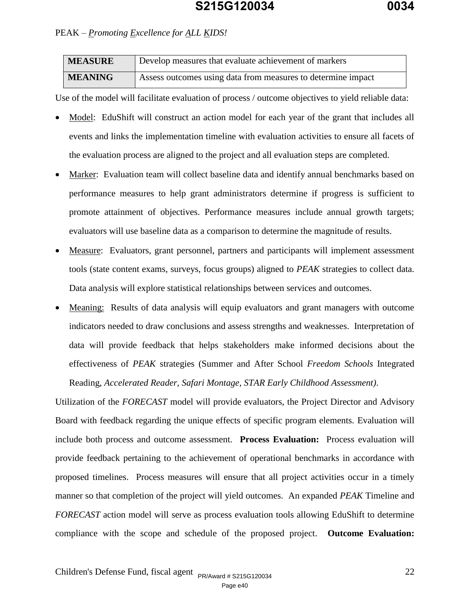| <b>MEASURE</b> | Develop measures that evaluate achievement of markers        |
|----------------|--------------------------------------------------------------|
| <b>MEANING</b> | Assess outcomes using data from measures to determine impact |

Use of the model will facilitate evaluation of process / outcome objectives to yield reliable data:

- Model: EduShift will construct an action model for each year of the grant that includes all events and links the implementation timeline with evaluation activities to ensure all facets of the evaluation process are aligned to the project and all evaluation steps are completed.
- Marker: Evaluation team will collect baseline data and identify annual benchmarks based on performance measures to help grant administrators determine if progress is sufficient to promote attainment of objectives. Performance measures include annual growth targets; evaluators will use baseline data as a comparison to determine the magnitude of results.
- Measure: Evaluators, grant personnel, partners and participants will implement assessment tools (state content exams, surveys, focus groups) aligned to *PEAK* strategies to collect data. Data analysis will explore statistical relationships between services and outcomes.
- Meaning: Results of data analysis will equip evaluators and grant managers with outcome indicators needed to draw conclusions and assess strengths and weaknesses. Interpretation of data will provide feedback that helps stakeholders make informed decisions about the effectiveness of *PEAK* strategies (Summer and After School *Freedom Schools* Integrated Reading, *Accelerated Reader, Safari Montage, STAR Early Childhood Assessment)*.

Utilization of the *FORECAST* model will provide evaluators, the Project Director and Advisory Board with feedback regarding the unique effects of specific program elements. Evaluation will include both process and outcome assessment. **Process Evaluation:** Process evaluation will provide feedback pertaining to the achievement of operational benchmarks in accordance with proposed timelines. Process measures will ensure that all project activities occur in a timely manner so that completion of the project will yield outcomes. An expanded *PEAK* Timeline and *FORECAST* action model will serve as process evaluation tools allowing EduShift to determine compliance with the scope and schedule of the proposed project. **Outcome Evaluation:**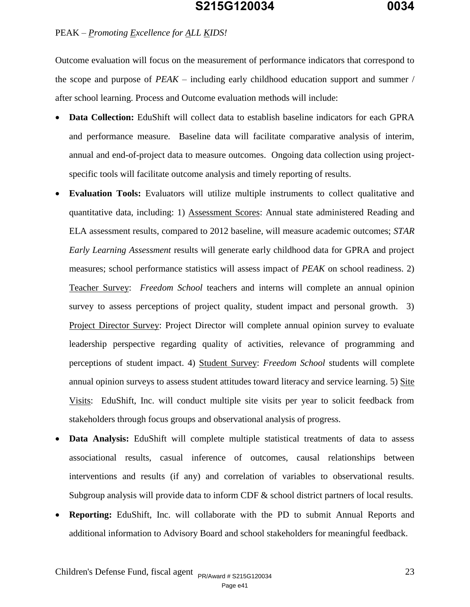Outcome evaluation will focus on the measurement of performance indicators that correspond to the scope and purpose of *PEAK* – including early childhood education support and summer / after school learning. Process and Outcome evaluation methods will include:

- **Data Collection:** EduShift will collect data to establish baseline indicators for each GPRA and performance measure. Baseline data will facilitate comparative analysis of interim, annual and end-of-project data to measure outcomes. Ongoing data collection using projectspecific tools will facilitate outcome analysis and timely reporting of results.
- **Evaluation Tools:** Evaluators will utilize multiple instruments to collect qualitative and quantitative data, including: 1) Assessment Scores: Annual state administered Reading and ELA assessment results, compared to 2012 baseline, will measure academic outcomes; *STAR Early Learning Assessment* results will generate early childhood data for GPRA and project measures; school performance statistics will assess impact of *PEAK* on school readiness. 2) Teacher Survey: *Freedom School* teachers and interns will complete an annual opinion survey to assess perceptions of project quality, student impact and personal growth. 3) Project Director Survey: Project Director will complete annual opinion survey to evaluate leadership perspective regarding quality of activities, relevance of programming and perceptions of student impact. 4) Student Survey: *Freedom School* students will complete annual opinion surveys to assess student attitudes toward literacy and service learning. 5) Site Visits: EduShift, Inc. will conduct multiple site visits per year to solicit feedback from stakeholders through focus groups and observational analysis of progress.
- **Data Analysis:** EduShift will complete multiple statistical treatments of data to assess associational results, casual inference of outcomes, causal relationships between interventions and results (if any) and correlation of variables to observational results. Subgroup analysis will provide data to inform CDF & school district partners of local results.
- **Reporting:** EduShift, Inc. will collaborate with the PD to submit Annual Reports and additional information to Advisory Board and school stakeholders for meaningful feedback.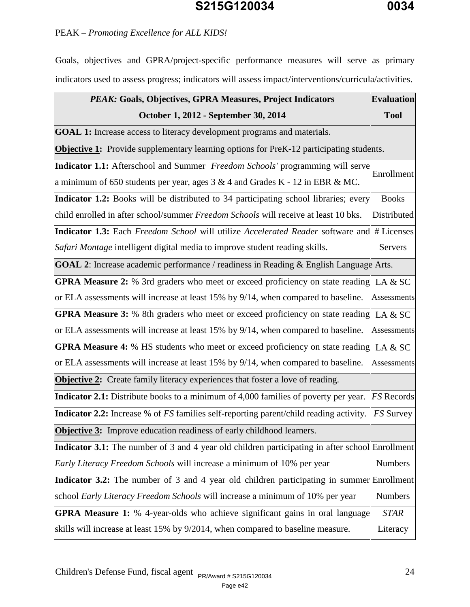### PEAK *– Promoting Excellence for ALL KIDS!*

Goals, objectives and GPRA/project-specific performance measures will serve as primary indicators used to assess progress; indicators will assess impact/interventions/curricula/activities.

| PEAK: Goals, Objectives, GPRA Measures, Project Indicators                                           | <b>Evaluation</b> |  |  |
|------------------------------------------------------------------------------------------------------|-------------------|--|--|
| October 1, 2012 - September 30, 2014                                                                 | <b>Tool</b>       |  |  |
| <b>GOAL 1:</b> Increase access to literacy development programs and materials.                       |                   |  |  |
| <b>Objective 1:</b> Provide supplementary learning options for PreK-12 participating students.       |                   |  |  |
| <b>Indicator 1.1:</b> Afterschool and Summer Freedom Schools' programming will serve                 | Enrollment        |  |  |
| a minimum of 650 students per year, ages $3 \& 4$ and Grades K - 12 in EBR $\&$ MC.                  |                   |  |  |
| Indicator 1.2: Books will be distributed to 34 participating school libraries; every                 | <b>Books</b>      |  |  |
| child enrolled in after school/summer Freedom Schools will receive at least 10 bks.                  | Distributed       |  |  |
| <b>Indicator 1.3:</b> Each Freedom School will utilize Accelerated Reader software and               | # Licenses        |  |  |
| Safari Montage intelligent digital media to improve student reading skills.                          | <b>Servers</b>    |  |  |
| <b>GOAL 2:</b> Increase academic performance / readiness in Reading & English Language Arts.         |                   |  |  |
| <b>GPRA Measure 2:</b> % 3rd graders who meet or exceed proficiency on state reading LA $\&$ SC      |                   |  |  |
| or ELA assessments will increase at least 15% by 9/14, when compared to baseline. Assessments        |                   |  |  |
| <b>GPRA Measure 3:</b> % 8th graders who meet or exceed proficiency on state reading LA $\&$ SC      |                   |  |  |
| or ELA assessments will increase at least 15% by 9/14, when compared to baseline. Assessments        |                   |  |  |
| <b>GPRA Measure 4:</b> % HS students who meet or exceed proficiency on state reading LA & SC         |                   |  |  |
| or ELA assessments will increase at least 15% by 9/14, when compared to baseline.                    | Assessments       |  |  |
| <b>Objective 2:</b> Create family literacy experiences that foster a love of reading.                |                   |  |  |
| Indicator 2.1: Distribute books to a minimum of 4,000 families of poverty per year.                  | <b>FS</b> Records |  |  |
| <b>Indicator 2.2:</b> Increase % of <i>FS</i> families self-reporting parent/child reading activity. | <b>FS</b> Survey  |  |  |
| <b>Objective 3:</b> Improve education readiness of early childhood learners.                         |                   |  |  |
| Indicator 3.1: The number of 3 and 4 year old children participating in after school Enrollment      |                   |  |  |
| Early Literacy Freedom Schools will increase a minimum of 10% per year                               | <b>Numbers</b>    |  |  |
| Indicator 3.2: The number of 3 and 4 year old children participating in summer                       | Enrollment        |  |  |
| school Early Literacy Freedom Schools will increase a minimum of 10% per year                        | <b>Numbers</b>    |  |  |
| <b>GPRA Measure 1:</b> % 4-year-olds who achieve significant gains in oral language                  | <b>STAR</b>       |  |  |
| skills will increase at least 15% by 9/2014, when compared to baseline measure.                      | Literacy          |  |  |